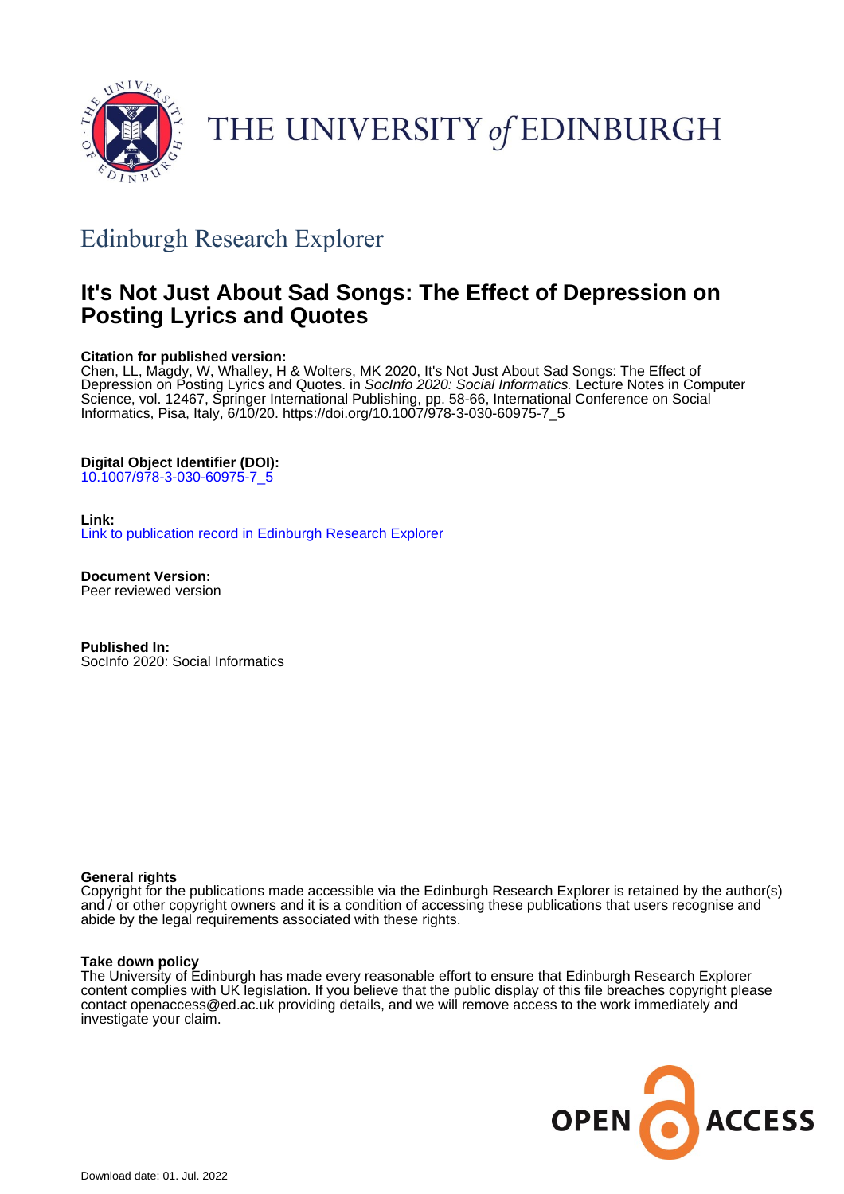

THE UNIVERSITY of EDINBURGH

# Edinburgh Research Explorer

# **It's Not Just About Sad Songs: The Effect of Depression on Posting Lyrics and Quotes**

# **Citation for published version:**

Chen, LL, Magdy, W, Whalley, H & Wolters, MK 2020, It's Not Just About Sad Songs: The Effect of Depression on Posting Lyrics and Quotes. in Socinfo 2020: Social Informatics. Lecture Notes in Computer Science, vol. 12467, Springer International Publishing, pp. 58-66, International Conference on Social Informatics, Pisa, Italy, 6/10/20. [https://doi.org/10.1007/978-3-030-60975-7\\_5](https://doi.org/10.1007/978-3-030-60975-7_5)

# **Digital Object Identifier (DOI):**

[10.1007/978-3-030-60975-7\\_5](https://doi.org/10.1007/978-3-030-60975-7_5)

# **Link:**

[Link to publication record in Edinburgh Research Explorer](https://www.research.ed.ac.uk/en/publications/d1e84bbb-c2d1-483b-a02f-750a3ed88c36)

**Document Version:** Peer reviewed version

**Published In:** SocInfo 2020: Social Informatics

# **General rights**

Copyright for the publications made accessible via the Edinburgh Research Explorer is retained by the author(s) and / or other copyright owners and it is a condition of accessing these publications that users recognise and abide by the legal requirements associated with these rights.

#### **Take down policy**

The University of Edinburgh has made every reasonable effort to ensure that Edinburgh Research Explorer content complies with UK legislation. If you believe that the public display of this file breaches copyright please contact openaccess@ed.ac.uk providing details, and we will remove access to the work immediately and investigate your claim.

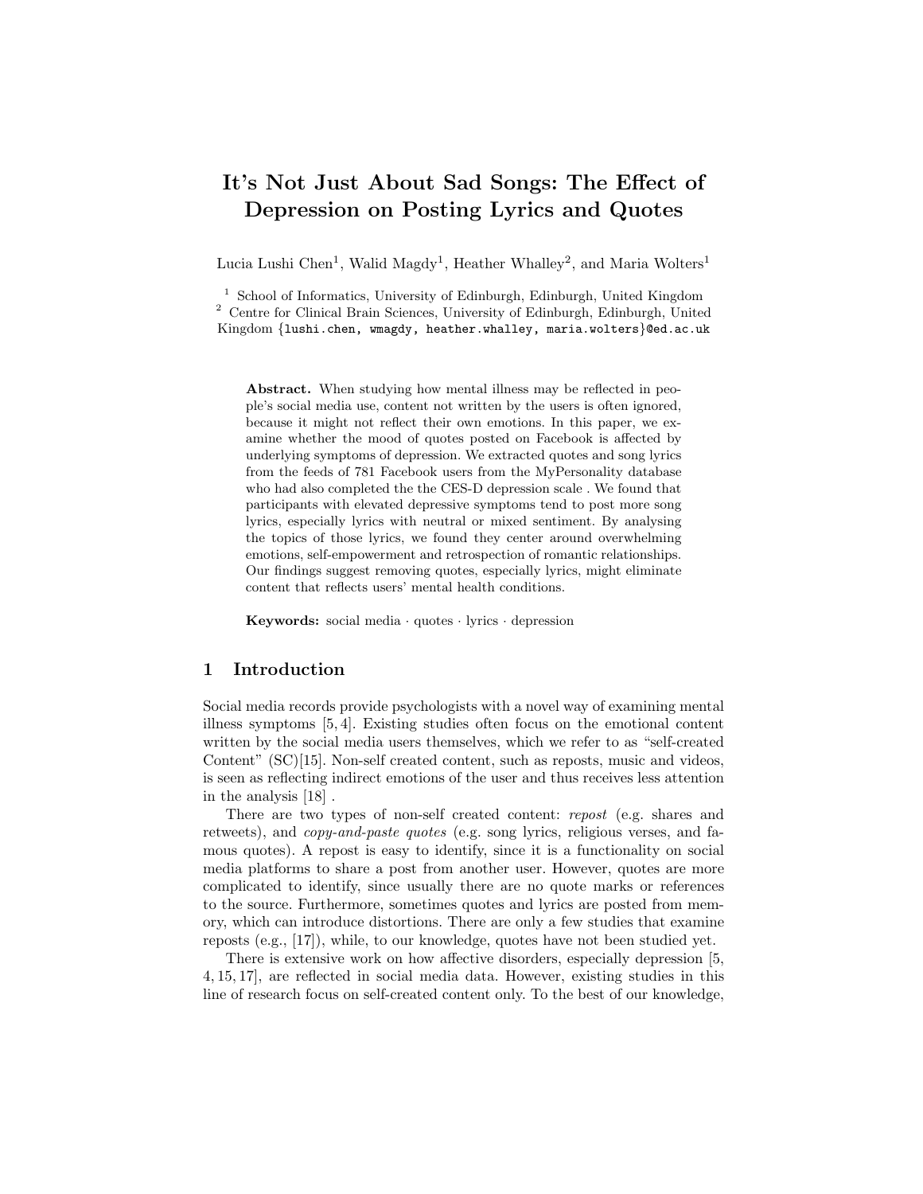# It's Not Just About Sad Songs: The Effect of Depression on Posting Lyrics and Quotes

Lucia Lushi Chen<sup>1</sup>, Walid Magdy<sup>1</sup>, Heather Whalley<sup>2</sup>, and Maria Wolters<sup>1</sup>

<sup>1</sup> School of Informatics, University of Edinburgh, Edinburgh, United Kingdom <sup>2</sup> Centre for Clinical Brain Sciences, University of Edinburgh, Edinburgh, United Kingdom {lushi.chen, wmagdy, heather.whalley, maria.wolters}@ed.ac.uk

Abstract. When studying how mental illness may be reflected in people's social media use, content not written by the users is often ignored, because it might not reflect their own emotions. In this paper, we examine whether the mood of quotes posted on Facebook is affected by underlying symptoms of depression. We extracted quotes and song lyrics from the feeds of 781 Facebook users from the MyPersonality database who had also completed the the CES-D depression scale . We found that participants with elevated depressive symptoms tend to post more song lyrics, especially lyrics with neutral or mixed sentiment. By analysing the topics of those lyrics, we found they center around overwhelming emotions, self-empowerment and retrospection of romantic relationships. Our findings suggest removing quotes, especially lyrics, might eliminate content that reflects users' mental health conditions.

Keywords: social media  $\cdot$  quotes  $\cdot$  lyrics  $\cdot$  depression

# 1 Introduction

Social media records provide psychologists with a novel way of examining mental illness symptoms [5, 4]. Existing studies often focus on the emotional content written by the social media users themselves, which we refer to as "self-created Content" (SC)[15]. Non-self created content, such as reposts, music and videos, is seen as reflecting indirect emotions of the user and thus receives less attention in the analysis [18] .

There are two types of non-self created content: repost (e.g. shares and retweets), and *copy-and-paste quotes* (e.g. song lyrics, religious verses, and famous quotes). A repost is easy to identify, since it is a functionality on social media platforms to share a post from another user. However, quotes are more complicated to identify, since usually there are no quote marks or references to the source. Furthermore, sometimes quotes and lyrics are posted from memory, which can introduce distortions. There are only a few studies that examine reposts (e.g., [17]), while, to our knowledge, quotes have not been studied yet.

There is extensive work on how affective disorders, especially depression [5, 4, 15, 17], are reflected in social media data. However, existing studies in this line of research focus on self-created content only. To the best of our knowledge,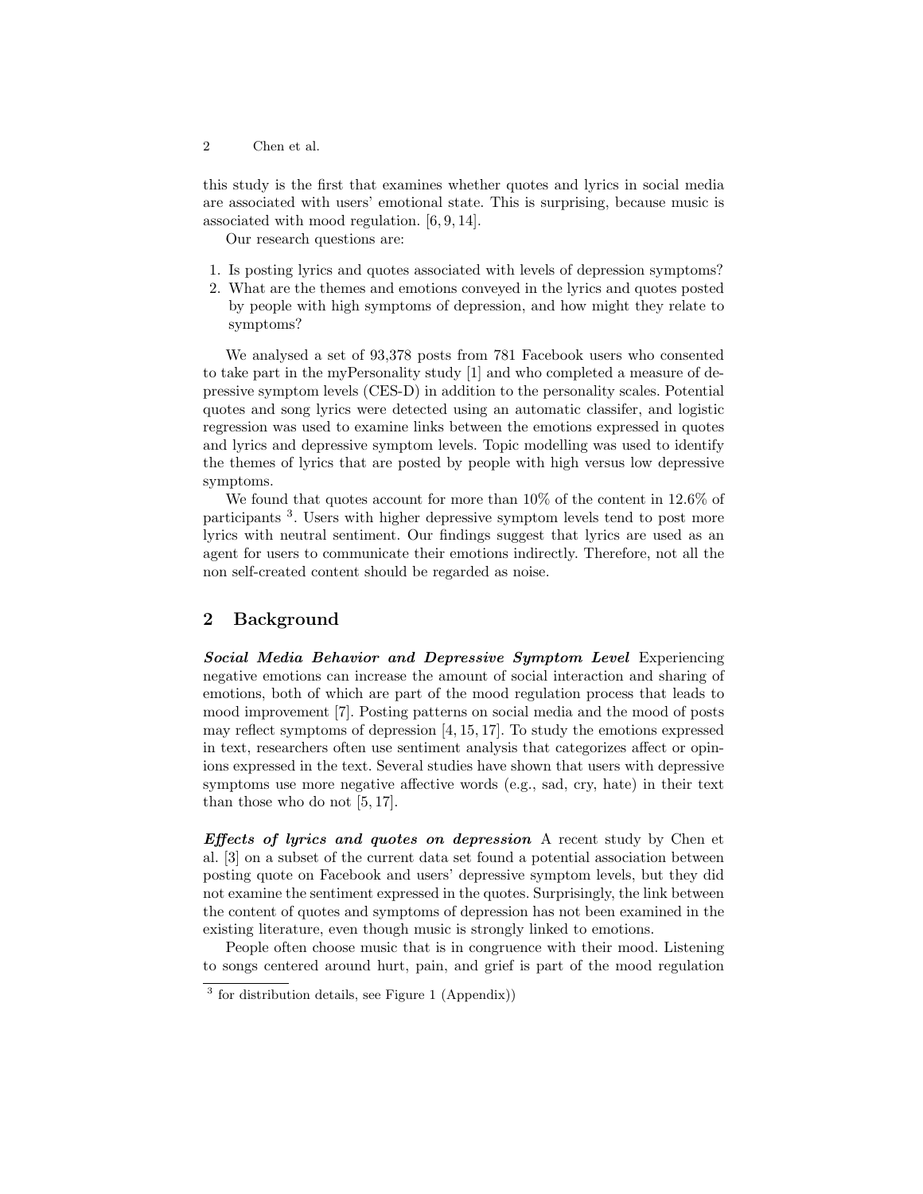2 Chen et al.

this study is the first that examines whether quotes and lyrics in social media are associated with users' emotional state. This is surprising, because music is associated with mood regulation. [6, 9, 14].

Our research questions are:

- 1. Is posting lyrics and quotes associated with levels of depression symptoms?
- 2. What are the themes and emotions conveyed in the lyrics and quotes posted by people with high symptoms of depression, and how might they relate to symptoms?

We analysed a set of 93,378 posts from 781 Facebook users who consented to take part in the myPersonality study [1] and who completed a measure of depressive symptom levels (CES-D) in addition to the personality scales. Potential quotes and song lyrics were detected using an automatic classifer, and logistic regression was used to examine links between the emotions expressed in quotes and lyrics and depressive symptom levels. Topic modelling was used to identify the themes of lyrics that are posted by people with high versus low depressive symptoms.

We found that quotes account for more than 10% of the content in 12.6% of participants <sup>3</sup> . Users with higher depressive symptom levels tend to post more lyrics with neutral sentiment. Our findings suggest that lyrics are used as an agent for users to communicate their emotions indirectly. Therefore, not all the non self-created content should be regarded as noise.

# 2 Background

Social Media Behavior and Depressive Symptom Level Experiencing negative emotions can increase the amount of social interaction and sharing of emotions, both of which are part of the mood regulation process that leads to mood improvement [7]. Posting patterns on social media and the mood of posts may reflect symptoms of depression [4, 15, 17]. To study the emotions expressed in text, researchers often use sentiment analysis that categorizes affect or opinions expressed in the text. Several studies have shown that users with depressive symptoms use more negative affective words (e.g., sad, cry, hate) in their text than those who do not [5, 17].

Effects of lyrics and quotes on depression A recent study by Chen et al. [3] on a subset of the current data set found a potential association between posting quote on Facebook and users' depressive symptom levels, but they did not examine the sentiment expressed in the quotes. Surprisingly, the link between the content of quotes and symptoms of depression has not been examined in the existing literature, even though music is strongly linked to emotions.

People often choose music that is in congruence with their mood. Listening to songs centered around hurt, pain, and grief is part of the mood regulation

<sup>&</sup>lt;sup>3</sup> for distribution details, see Figure 1 (Appendix))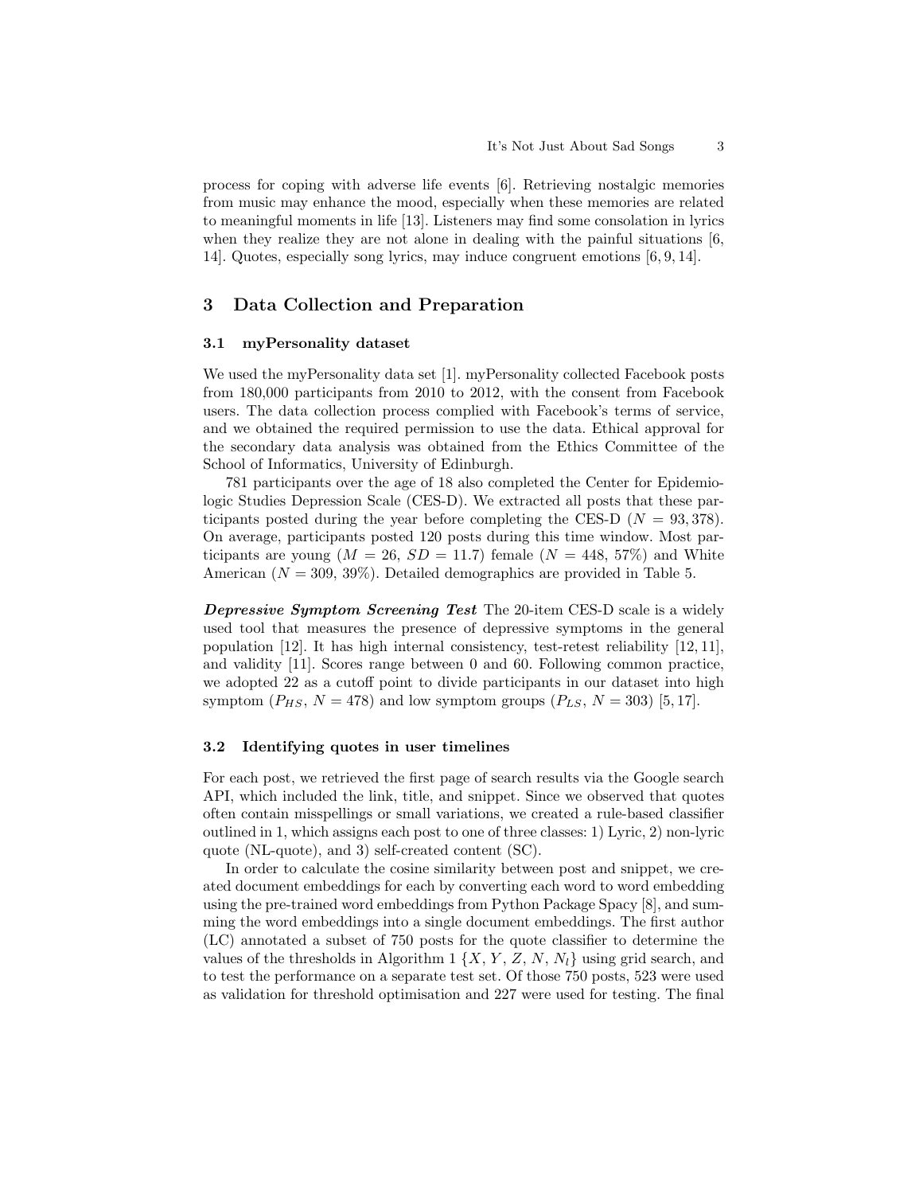process for coping with adverse life events [6]. Retrieving nostalgic memories from music may enhance the mood, especially when these memories are related to meaningful moments in life [13]. Listeners may find some consolation in lyrics when they realize they are not alone in dealing with the painful situations [6, 14]. Quotes, especially song lyrics, may induce congruent emotions [6, 9, 14].

#### 3 Data Collection and Preparation

#### 3.1 myPersonality dataset

We used the myPersonality data set [1]. myPersonality collected Facebook posts from 180,000 participants from 2010 to 2012, with the consent from Facebook users. The data collection process complied with Facebook's terms of service, and we obtained the required permission to use the data. Ethical approval for the secondary data analysis was obtained from the Ethics Committee of the School of Informatics, University of Edinburgh.

781 participants over the age of 18 also completed the Center for Epidemiologic Studies Depression Scale (CES-D). We extracted all posts that these participants posted during the year before completing the CES-D  $(N = 93,378)$ . On average, participants posted 120 posts during this time window. Most participants are young  $(M = 26, SD = 11.7)$  female  $(N = 448, 57%)$  and White American  $(N = 309, 39\%)$ . Detailed demographics are provided in Table 5.

Depressive Symptom Screening Test The 20-item CES-D scale is a widely used tool that measures the presence of depressive symptoms in the general population [12]. It has high internal consistency, test-retest reliability [12, 11], and validity [11]. Scores range between 0 and 60. Following common practice, we adopted 22 as a cutoff point to divide participants in our dataset into high symptom  $(P_{HS}, N = 478)$  and low symptom groups  $(P_{LS}, N = 303)$  [5, 17].

#### 3.2 Identifying quotes in user timelines

For each post, we retrieved the first page of search results via the Google search API, which included the link, title, and snippet. Since we observed that quotes often contain misspellings or small variations, we created a rule-based classifier outlined in 1, which assigns each post to one of three classes: 1) Lyric, 2) non-lyric quote (NL-quote), and 3) self-created content (SC).

In order to calculate the cosine similarity between post and snippet, we created document embeddings for each by converting each word to word embedding using the pre-trained word embeddings from Python Package Spacy [8], and summing the word embeddings into a single document embeddings. The first author (LC) annotated a subset of 750 posts for the quote classifier to determine the values of the thresholds in Algorithm 1  $\{X, Y, Z, N, N_l\}$  using grid search, and to test the performance on a separate test set. Of those 750 posts, 523 were used as validation for threshold optimisation and 227 were used for testing. The final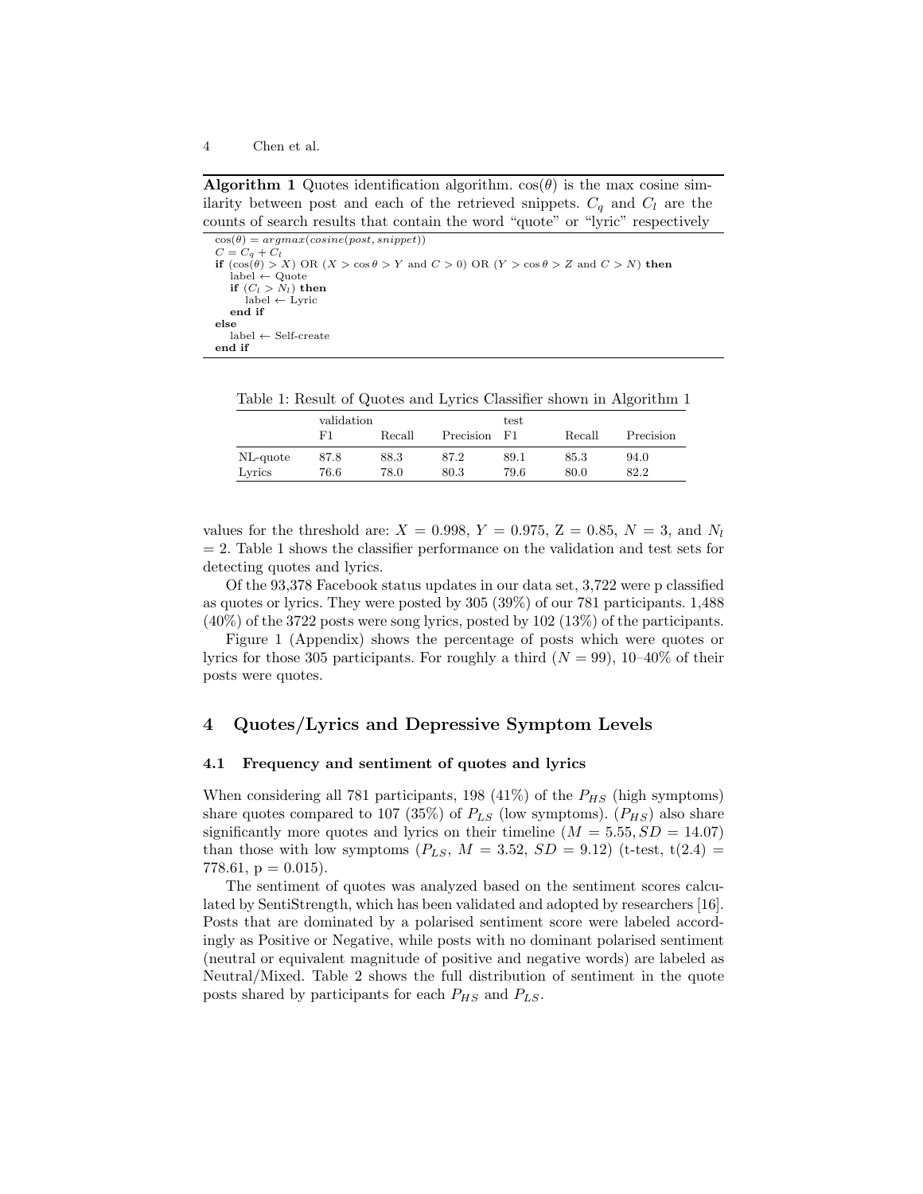**Algorithm 1** Quotes identification algorithm.  $cos(\theta)$  is the max cosine similarity between post and each of the retrieved snippets.  $C_q$  and  $C_l$  are the counts of search results that contain the word "quote" or "lyric" respectively

 $\cos(\theta) = argmax(cosine(post, snippet))$  $C = C_q + C_l$ <br>
if  $(\cos(\theta) > X)$  OR  $(X > \cos \theta > Y$  and  $C > 0)$  OR  $(Y > \cos \theta > Z$  and  $C > N)$  then<br>
label  $\leftarrow$  Quote if  $(C_l > N_l)$  then  $label \leftarrow$  Lyric end if else label ← Self-create end if

Table 1: Result of Quotes and Lyrics Classifier shown in Algorithm 1

|          | validation |        |           | test |        |           |
|----------|------------|--------|-----------|------|--------|-----------|
|          | F1         | Recall | Precision | - F1 | Recall | Precision |
| NL-quote | 87.8       | 88.3   | 87.2      | 89.1 | 85.3   | 94.0      |
| Lyrics   | 76.6       | 78.0   | 80.3      | 79.6 | 80.0   | 82.2      |

values for the threshold are:  $X = 0.998, Y = 0.975, Z = 0.85, N = 3$ , and  $N_l$  $= 2$ . Table 1 shows the classifier performance on the validation and test sets for detecting quotes and lyrics.

Of the 93,378 Facebook status updates in our data set, 3,722 were p classified as quotes or lyrics. They were posted by 305 (39%) of our 781 participants. 1,488 (40%) of the 3722 posts were song lyrics, posted by 102 (13%) of the participants.

Figure 1 (Appendix) shows the percentage of posts which were quotes or lyrics for those 305 participants. For roughly a third  $(N = 99)$ , 10–40% of their posts were quotes.

#### 4 Quotes/Lyrics and Depressive Symptom Levels

#### 4.1 Frequency and sentiment of quotes and lyrics

When considering all 781 participants, 198 (41%) of the  $P_{HS}$  (high symptoms) share quotes compared to 107 (35%) of  $P_{LS}$  (low symptoms).  $(P_{HS})$  also share significantly more quotes and lyrics on their timeline  $(M = 5.55, SD = 14.07)$ than those with low symptoms  $(P_{LS}, M = 3.52, SD = 9.12)$  (t-test, t(2.4) = 778.61,  $p = 0.015$ ).

The sentiment of quotes was analyzed based on the sentiment scores calculated by SentiStrength, which has been validated and adopted by researchers [16]. Posts that are dominated by a polarised sentiment score were labeled accordingly as Positive or Negative, while posts with no dominant polarised sentiment (neutral or equivalent magnitude of positive and negative words) are labeled as Neutral/Mixed. Table 2 shows the full distribution of sentiment in the quote posts shared by participants for each  $P_{HS}$  and  $P_{LS}$ .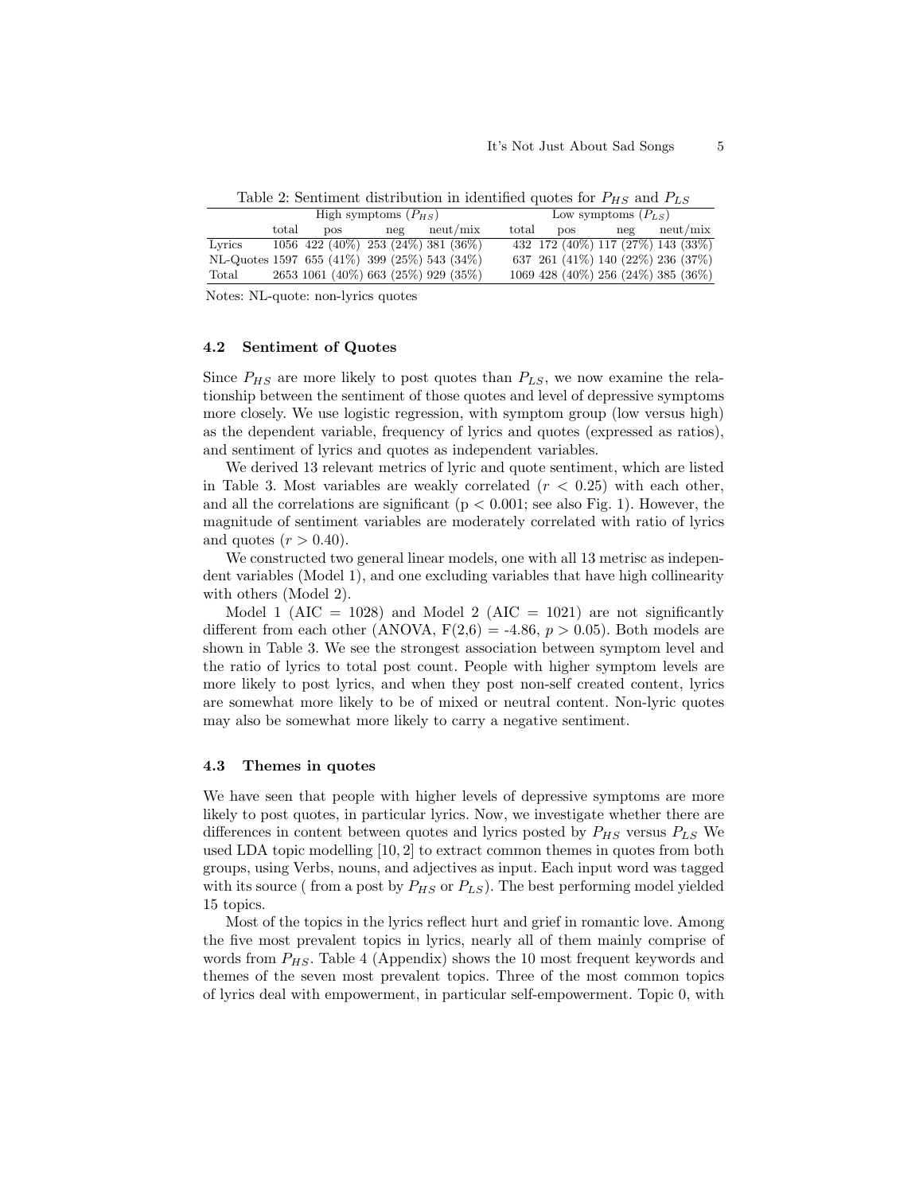| High symptoms $(P_{HS})$ |       |                                              |     |          |       | Low symptoms $(P_{LS})$ |     |                                    |  |
|--------------------------|-------|----------------------------------------------|-----|----------|-------|-------------------------|-----|------------------------------------|--|
|                          | total | DOS FOR                                      | neg | neut/mix | total | <b>DOS</b>              | neg | neut/mix                           |  |
| Lyrics                   |       | $1056$ 422 (40%) 253 (24%) 381 (36%)         |     |          |       |                         |     | 432 172 (40%) 117 (27%) 143 (33%)  |  |
|                          |       | NL-Quotes 1597 655 (41%) 399 (25%) 543 (34%) |     |          |       |                         |     | 637 261 (41%) 140 (22%) 236 (37%)  |  |
| Total                    |       | 2653 1061 (40%) 663 (25%) 929 (35%)          |     |          |       |                         |     | 1069 428 (40%) 256 (24%) 385 (36%) |  |
|                          |       |                                              |     |          |       |                         |     |                                    |  |

Table 2: Sentiment distribution in identified quotes for  $P_{HS}$  and  $P_{LS}$ 

Notes: NL-quote: non-lyrics quotes

#### 4.2 Sentiment of Quotes

Since  $P_{HS}$  are more likely to post quotes than  $P_{LS}$ , we now examine the relationship between the sentiment of those quotes and level of depressive symptoms more closely. We use logistic regression, with symptom group (low versus high) as the dependent variable, frequency of lyrics and quotes (expressed as ratios), and sentiment of lyrics and quotes as independent variables.

We derived 13 relevant metrics of lyric and quote sentiment, which are listed in Table 3. Most variables are weakly correlated  $(r < 0.25)$  with each other, and all the correlations are significant ( $p < 0.001$ ; see also Fig. 1). However, the magnitude of sentiment variables are moderately correlated with ratio of lyrics and quotes  $(r > 0.40)$ .

We constructed two general linear models, one with all 13 metrisc as independent variables (Model 1), and one excluding variables that have high collinearity with others (Model 2).

Model 1 (AIC = 1028) and Model 2 (AIC = 1021) are not significantly different from each other (ANOVA,  $F(2,6) = -4.86, p > 0.05$ ). Both models are shown in Table 3. We see the strongest association between symptom level and the ratio of lyrics to total post count. People with higher symptom levels are more likely to post lyrics, and when they post non-self created content, lyrics are somewhat more likely to be of mixed or neutral content. Non-lyric quotes may also be somewhat more likely to carry a negative sentiment.

#### 4.3 Themes in quotes

We have seen that people with higher levels of depressive symptoms are more likely to post quotes, in particular lyrics. Now, we investigate whether there are differences in content between quotes and lyrics posted by  $P_{HS}$  versus  $P_{LS}$  We used LDA topic modelling [10, 2] to extract common themes in quotes from both groups, using Verbs, nouns, and adjectives as input. Each input word was tagged with its source ( from a post by  $P_{HS}$  or  $P_{LS}$ ). The best performing model yielded 15 topics.

Most of the topics in the lyrics reflect hurt and grief in romantic love. Among the five most prevalent topics in lyrics, nearly all of them mainly comprise of words from  $P_{HS}$ . Table 4 (Appendix) shows the 10 most frequent keywords and themes of the seven most prevalent topics. Three of the most common topics of lyrics deal with empowerment, in particular self-empowerment. Topic 0, with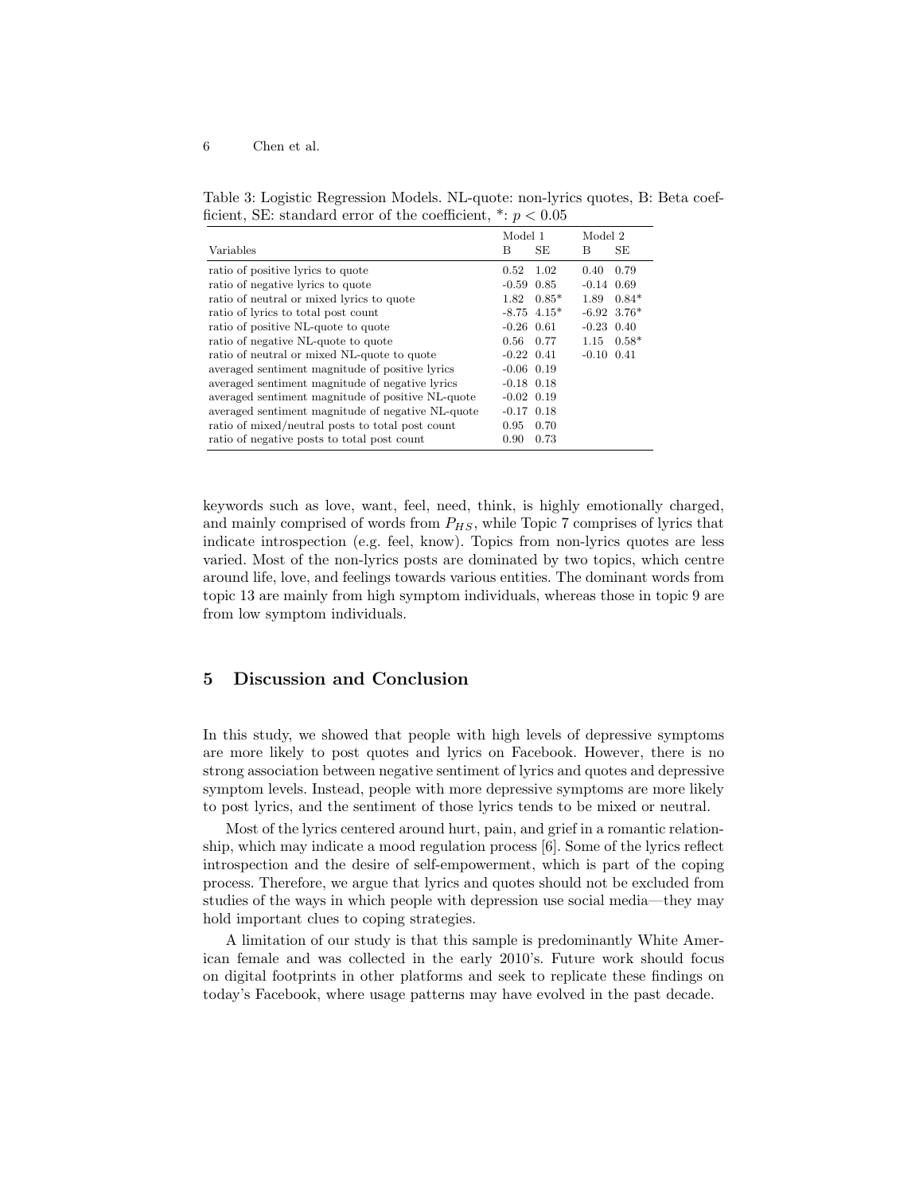#### 6 Chen et al.

Table 3: Logistic Regression Models. NL-quote: non-lyrics quotes, B: Beta coefficient, SE: standard error of the coefficient,  $\dot{ }$ :  $p < 0.05$ 

|                                                   | Model 1        |               | Model 2        |                           |
|---------------------------------------------------|----------------|---------------|----------------|---------------------------|
| <b>Variables</b>                                  | В              | <b>SE</b>     | В              | SE                        |
| ratio of positive lyrics to quote                 | 0.52           | 1.02          | 0.40           | 0.79                      |
| ratio of negative lyrics to quote                 | $-0.59$ $0.85$ |               | $-0.14$ $0.69$ |                           |
| ratio of neutral or mixed lyrics to quote         | 1.82           | $0.85*$       | 1.89           | $0.84*$                   |
| ratio of lyrics to total post count               |                | $-8.75$ 4.15* |                | $-6.92$ 3.76 <sup>*</sup> |
| ratio of positive NL-quote to quote               | $-0.26$ 0.61   |               | $-0.23$ 0.40   |                           |
| ratio of negative NL-quote to quote               | $0.56^{\circ}$ | 0.77          | 1.15           | $0.58*$                   |
| ratio of neutral or mixed NL-quote to quote       | $-0.22$ $0.41$ |               | $-0.10$ $0.41$ |                           |
| averaged sentiment magnitude of positive lyrics   | $-0.06$ 0.19   |               |                |                           |
| averaged sentiment magnitude of negative lyrics   | $-0.18$ 0.18   |               |                |                           |
| averaged sentiment magnitude of positive NL-quote | $-0.02$ 0.19   |               |                |                           |
| averaged sentiment magnitude of negative NL-quote | $-0.17$ $0.18$ |               |                |                           |
| ratio of mixed/neutral posts to total post count  | 0.95           | 0.70          |                |                           |
| ratio of negative posts to total post count       | 0.90           | 0.73          |                |                           |

keywords such as love, want, feel, need, think, is highly emotionally charged, and mainly comprised of words from  $P_{HS}$ , while Topic 7 comprises of lyrics that indicate introspection (e.g. feel, know). Topics from non-lyrics quotes are less varied. Most of the non-lyrics posts are dominated by two topics, which centre around life, love, and feelings towards various entities. The dominant words from topic 13 are mainly from high symptom individuals, whereas those in topic 9 are from low symptom individuals.

# 5 Discussion and Conclusion

In this study, we showed that people with high levels of depressive symptoms are more likely to post quotes and lyrics on Facebook. However, there is no strong association between negative sentiment of lyrics and quotes and depressive symptom levels. Instead, people with more depressive symptoms are more likely to post lyrics, and the sentiment of those lyrics tends to be mixed or neutral.

Most of the lyrics centered around hurt, pain, and grief in a romantic relationship, which may indicate a mood regulation process [6]. Some of the lyrics reflect introspection and the desire of self-empowerment, which is part of the coping process. Therefore, we argue that lyrics and quotes should not be excluded from studies of the ways in which people with depression use social media—they may hold important clues to coping strategies.

A limitation of our study is that this sample is predominantly White American female and was collected in the early 2010's. Future work should focus on digital footprints in other platforms and seek to replicate these findings on today's Facebook, where usage patterns may have evolved in the past decade.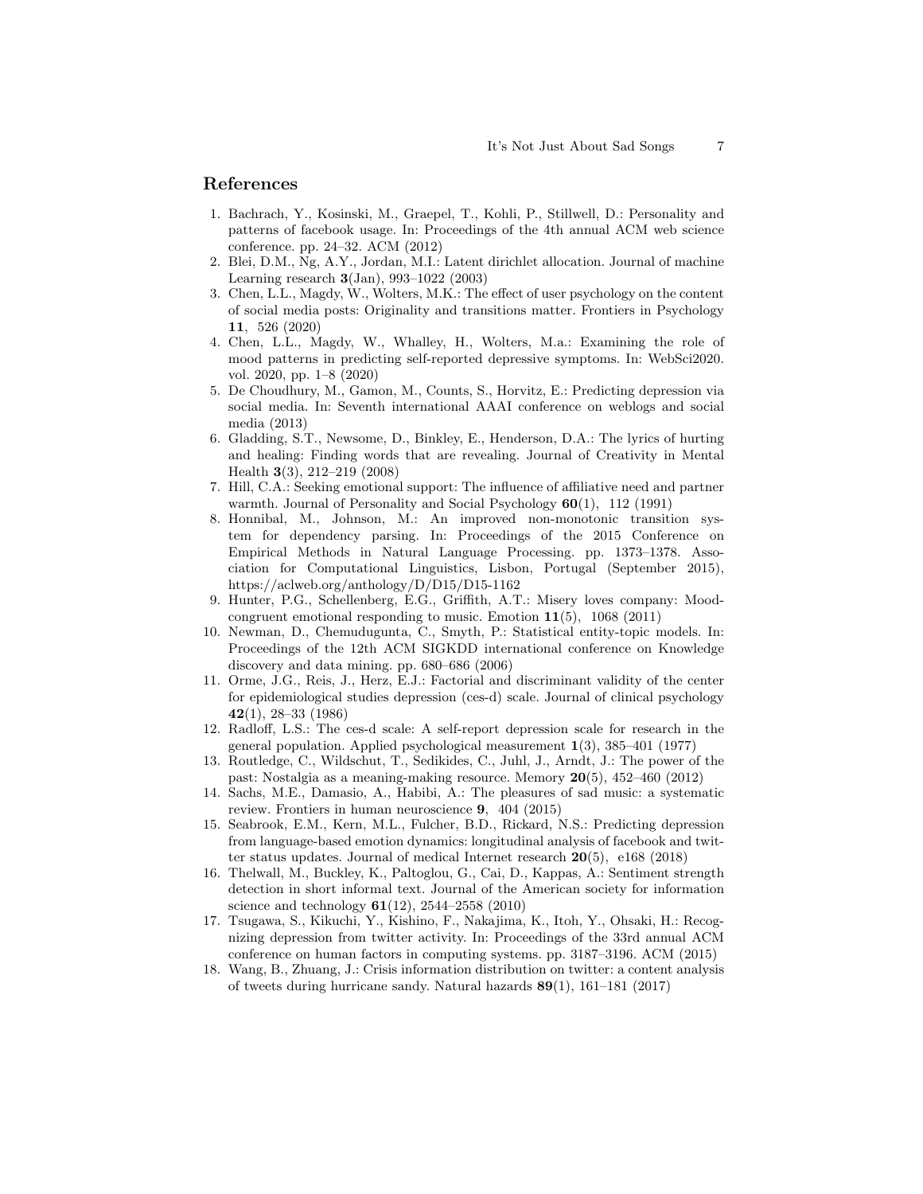#### References

- 1. Bachrach, Y., Kosinski, M., Graepel, T., Kohli, P., Stillwell, D.: Personality and patterns of facebook usage. In: Proceedings of the 4th annual ACM web science conference. pp. 24–32. ACM (2012)
- 2. Blei, D.M., Ng, A.Y., Jordan, M.I.: Latent dirichlet allocation. Journal of machine Learning research  $3(Jan)$ , 993-1022 (2003)
- 3. Chen, L.L., Magdy, W., Wolters, M.K.: The effect of user psychology on the content of social media posts: Originality and transitions matter. Frontiers in Psychology 11, 526 (2020)
- 4. Chen, L.L., Magdy, W., Whalley, H., Wolters, M.a.: Examining the role of mood patterns in predicting self-reported depressive symptoms. In: WebSci2020. vol. 2020, pp. 1–8 (2020)
- 5. De Choudhury, M., Gamon, M., Counts, S., Horvitz, E.: Predicting depression via social media. In: Seventh international AAAI conference on weblogs and social media (2013)
- 6. Gladding, S.T., Newsome, D., Binkley, E., Henderson, D.A.: The lyrics of hurting and healing: Finding words that are revealing. Journal of Creativity in Mental Health 3(3), 212–219 (2008)
- 7. Hill, C.A.: Seeking emotional support: The influence of affiliative need and partner warmth. Journal of Personality and Social Psychology  $60(1)$ , 112 (1991)
- 8. Honnibal, M., Johnson, M.: An improved non-monotonic transition system for dependency parsing. In: Proceedings of the 2015 Conference on Empirical Methods in Natural Language Processing. pp. 1373–1378. Association for Computational Linguistics, Lisbon, Portugal (September 2015), https://aclweb.org/anthology/D/D15/D15-1162
- 9. Hunter, P.G., Schellenberg, E.G., Griffith, A.T.: Misery loves company: Moodcongruent emotional responding to music. Emotion  $11(5)$ , 1068 (2011)
- 10. Newman, D., Chemudugunta, C., Smyth, P.: Statistical entity-topic models. In: Proceedings of the 12th ACM SIGKDD international conference on Knowledge discovery and data mining. pp. 680–686 (2006)
- 11. Orme, J.G., Reis, J., Herz, E.J.: Factorial and discriminant validity of the center for epidemiological studies depression (ces-d) scale. Journal of clinical psychology 42(1), 28–33 (1986)
- 12. Radloff, L.S.: The ces-d scale: A self-report depression scale for research in the general population. Applied psychological measurement  $1(3)$ ,  $385-401$  (1977)
- 13. Routledge, C., Wildschut, T., Sedikides, C., Juhl, J., Arndt, J.: The power of the past: Nostalgia as a meaning-making resource. Memory 20(5), 452–460 (2012)
- 14. Sachs, M.E., Damasio, A., Habibi, A.: The pleasures of sad music: a systematic review. Frontiers in human neuroscience 9, 404 (2015)
- 15. Seabrook, E.M., Kern, M.L., Fulcher, B.D., Rickard, N.S.: Predicting depression from language-based emotion dynamics: longitudinal analysis of facebook and twitter status updates. Journal of medical Internet research 20(5), e168 (2018)
- 16. Thelwall, M., Buckley, K., Paltoglou, G., Cai, D., Kappas, A.: Sentiment strength detection in short informal text. Journal of the American society for information science and technology  $61(12)$ , 2544–2558 (2010)
- 17. Tsugawa, S., Kikuchi, Y., Kishino, F., Nakajima, K., Itoh, Y., Ohsaki, H.: Recognizing depression from twitter activity. In: Proceedings of the 33rd annual ACM conference on human factors in computing systems. pp. 3187–3196. ACM (2015)
- 18. Wang, B., Zhuang, J.: Crisis information distribution on twitter: a content analysis of tweets during hurricane sandy. Natural hazards 89(1), 161–181 (2017)